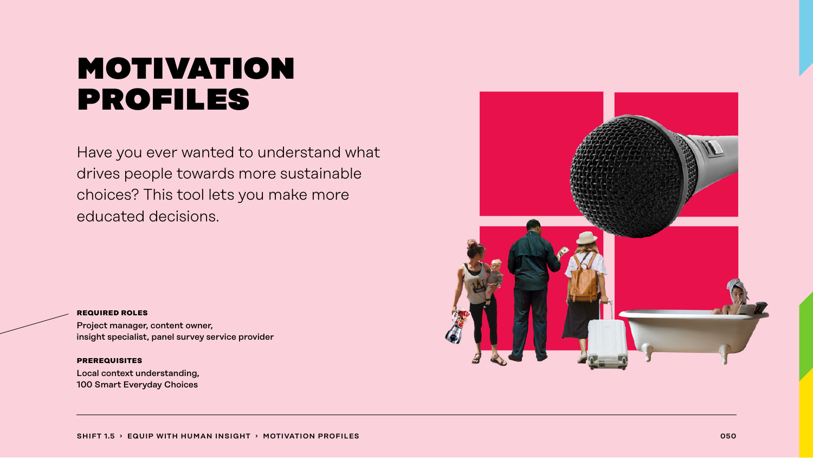## motivation profiles

Have you ever wanted to understand what drives people towards more sustainable choices? This tool lets you make more educated decisions.



#### **required roles**

Project manager, content owner, insight specialist, panel survey service provider

#### **prerequisites**

Local context understanding, 100 Smart Everyday Choices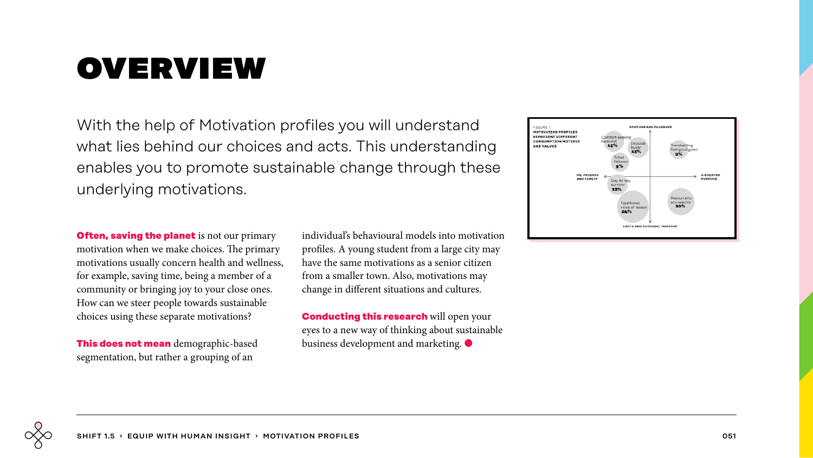## overview

With the help of Motivation profiles you will understand what lies behind our choices and acts. This understanding enables you to promote sustainable change through these underlying motivations.

**Often, saving the planet** is not our primary motivation when we make choices. The primary motivations usually concern health and wellness, for example, saving time, being a member of a community or bringing joy to your close ones. How can we steer people towards sustainable choices using these separate motivations?

**This does not mean** demographic-based segmentation, but rather a grouping of an

individual's behavioural models into motivation profiles. A young student from a large city may have the same motivations as a senior citizen from a smaller town. Also, motivations may change in different situations and cultures.

**Conducting this research** will open your eyes to a new way of thinking about sustainable business development and marketing.  $\bullet$ 

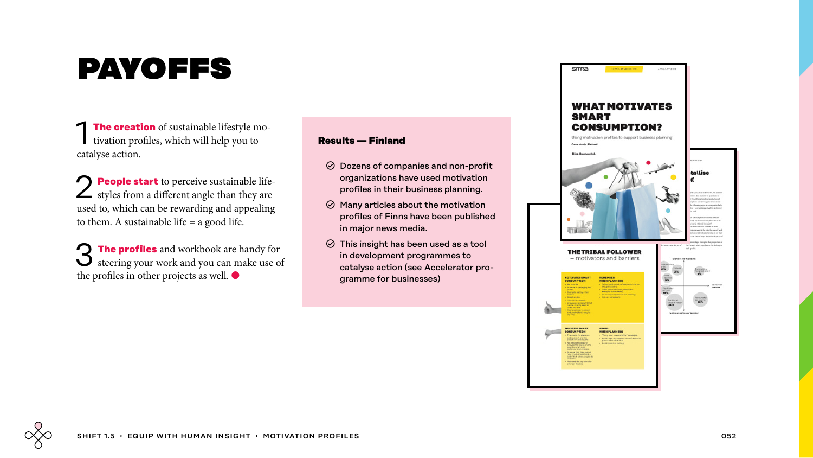# payoffs

**The creation** of sustainable lifestyle motivation profiles, which will help you to catalyse action.

2 **People start** to perceive sustainable life-styles from a different angle than they are used to, which can be rewarding and appealing to them. A sustainable life  $=$  a good life.

3 **The profiles** and workbook are handy for steering your work and you can make use of the profiles in other projects as well. ●

### **Results — Finland**

- $\odot$  Dozens of companies and non-profit organizations have used motivation profiles in their business planning.
- $\odot$  Many articles about the motivation profiles of Finns have been published in major news media.
- $\odot$  This insight has been used as a tool in development programmes to catalyse action (see Accelerator programme for businesses)

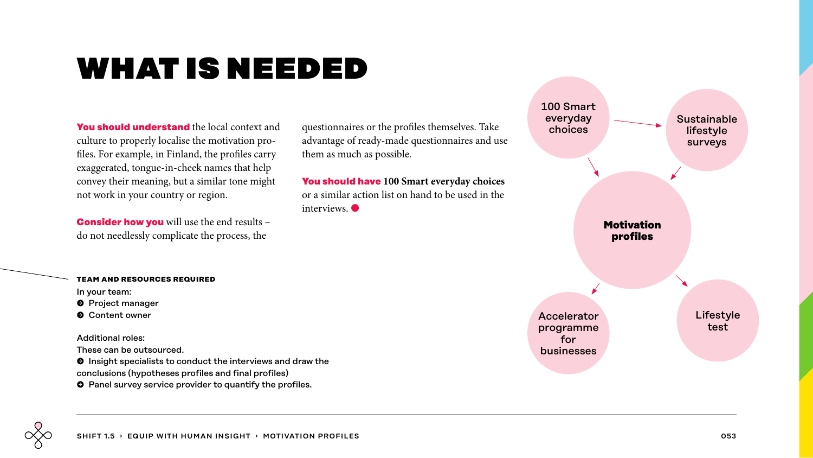## what is needed

**You should understand** the local context and culture to properly localise the motivation profiles. For example, in Finland, the profiles carry exaggerated, tongue-in-cheek names that help convey their meaning, but a similar tone might not work in your country or region.

**Consider how you** will use the end results – do not needlessly complicate the process, the

questionnaires or the profiles themselves. Take advantage of ready-made questionnaires and use them as much as possible.

**You should have 100 Smart everyday choices** or a similar action list on hand to be used in the interviews<sup>.</sup>



#### **team and resources required**

In your team:

- **O** Project manager
- $\bullet$  Content owner

Additional roles:

These can be outsourced.

 $\bullet$  Insight specialists to conduct the interviews and draw the conclusions (hypotheses profiles and final profiles)

 $\bullet$  Panel survey service provider to quantify the profiles.

SHIFT 1.5 › EQUIP WITH HUMAN INSIGHT › MOTIVATION PROFILES OS3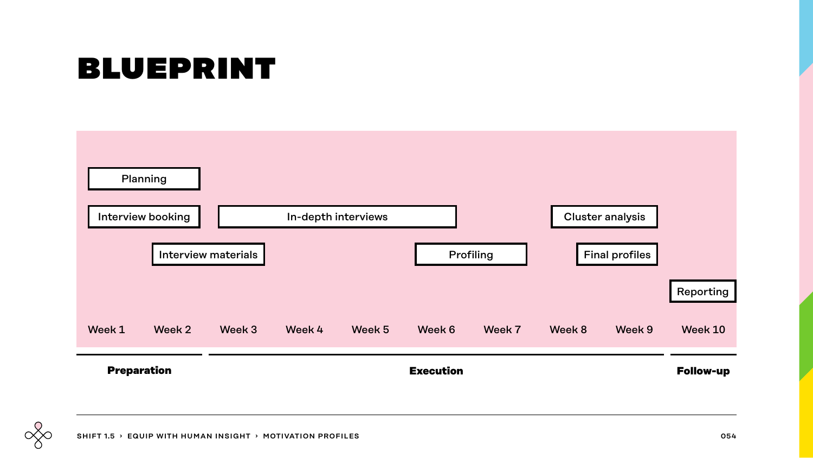# blueprint

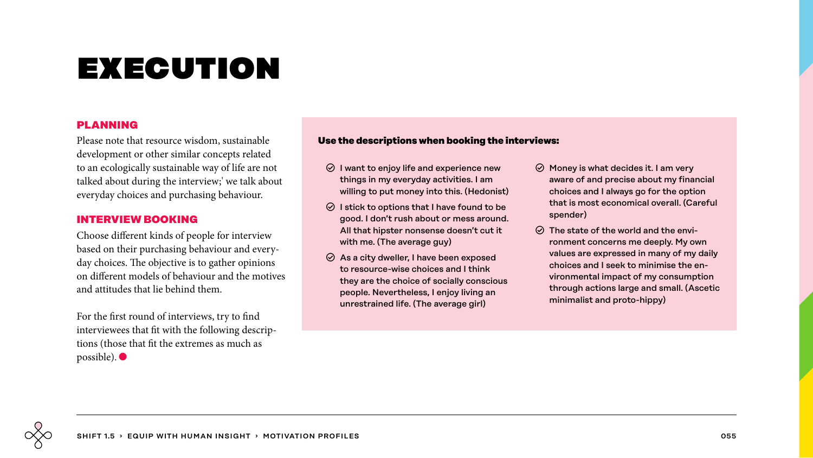### **PLANNING**

Please note that resource wisdom, sustainable development or other similar concepts related to an ecologically sustainable way of life are not talked about during the interview;' we talk about everyday choices and purchasing behaviour.

## **INTERVIEW BOOKING**

Choose different kinds of people for interview based on their purchasing behaviour and everyday choices. The objective is to gather opinions on different models of behaviour and the motives and attitudes that lie behind them.

For the first round of interviews, try to find interviewees that fit with the following descriptions (those that fit the extremes as much as possible). ●

### **Use the descriptions when booking the interviews:**

- $\odot$  I want to enjoy life and experience new things in my everyday activities. I am willing to put money into this. (Hedonist)
- $\odot$  I stick to options that I have found to be good. I don't rush about or mess around. All that hipster nonsense doesn't cut it with me. (The average guy)
- $\odot$  As a city dweller, I have been exposed to resource-wise choices and I think they are the choice of socially conscious people. Nevertheless, I enjoy living an unrestrained life. (The average girl)
- $\odot$  Money is what decides it. I am very aware of and precise about my financial choices and I always go for the option that is most economical overall. (Careful spender)
- $\odot$  The state of the world and the environment concerns me deeply. My own values are expressed in many of my daily choices and I seek to minimise the environmental impact of my consumption through actions large and small. (Ascetic minimalist and proto-hippy)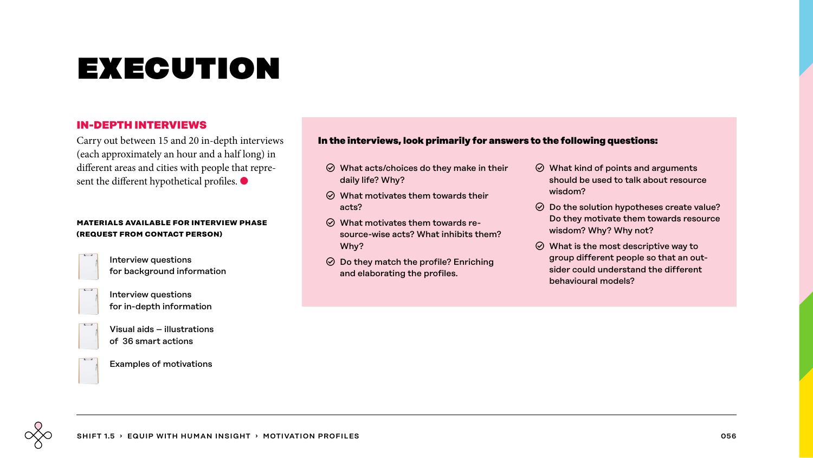### **IN-DEPTH INTERVIEWS**

Carry out between 15 and 20 in-depth interviews (each approximately an hour and a half long) in different areas and cities with people that represent the different hypothetical profiles.  $\bullet$ 

#### **materials available for interview phase (request from contact person)**



Interview questions for background information



Interview questions for in-depth information



Visual aids – illustrations of 36 smart actions

Examples of motivations

### **In the interviews, look primarily for answers to the following questions:**

- $\odot$  What acts/choices do they make in their daily life? Why?
- $\odot$  What motivates them towards their acts?
- $\odot$  What motivates them towards resource-wise acts? What inhibits them? Why?
- $\odot$  Do they match the profile? Enriching and elaborating the profiles.
- $\odot$  What kind of points and arguments should be used to talk about resource wisdom?
- $\odot$  Do the solution hypotheses create value? Do they motivate them towards resource wisdom? Why? Why not?
- $\odot$  What is the most descriptive way to group different people so that an outsider could understand the different behavioural models?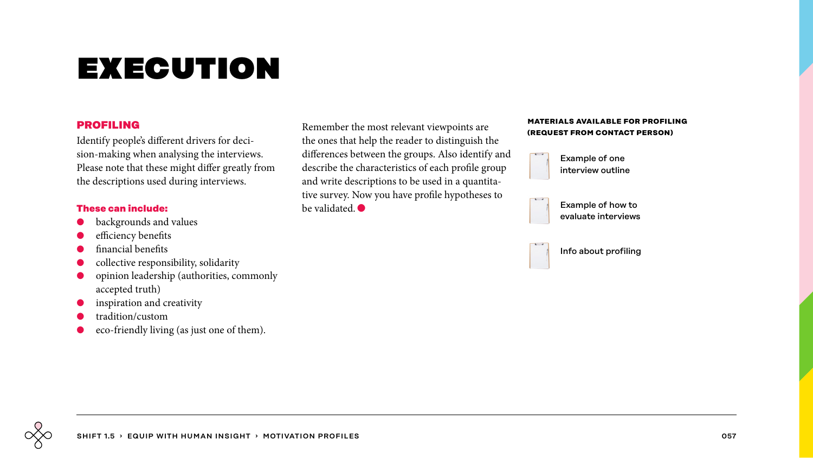### **PROFILING**

Identify people's different drivers for decision-making when analysing the interviews. Please note that these might differ greatly from the descriptions used during interviews.

#### **These can include:**

- **●** backgrounds and values
- efficiency benefits
- **●** financial benefits
- **●** collective responsibility, solidarity
- opinion leadership (authorities, commonly accepted truth)
- inspiration and creativity
- **●** tradition/custom
- eco-friendly living (as just one of them).

Remember the most relevant viewpoints are the ones that help the reader to distinguish the differences between the groups. Also identify and describe the characteristics of each profile group and write descriptions to be used in a quantitative survey. Now you have profile hypotheses to be validated  $\bullet$ 

#### **materials available for profiling (request from contact person)**



Example of how to evaluate interviews

Info about profiling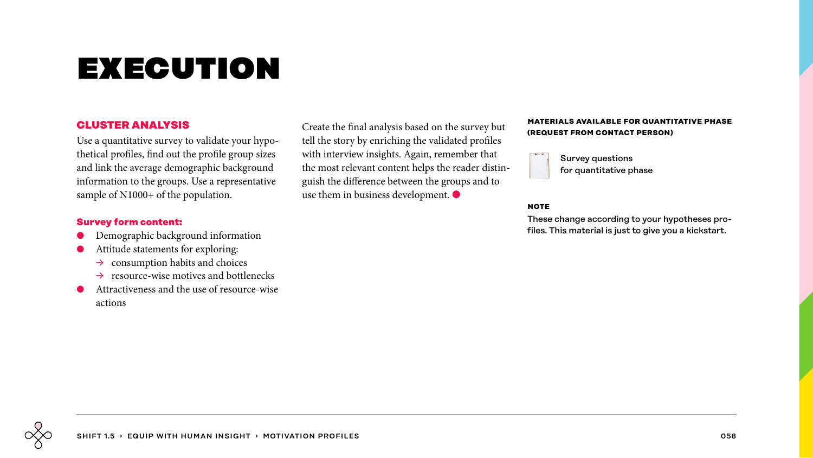### **CLUSTER ANALYSIS**

Use a quantitative survey to validate your hypothetical profiles, find out the profile group sizes and link the average demographic background information to the groups. Use a representative sample of N1000+ of the population.

### **Survey form content:**

- **●** Demographic background information
- **●** Attitude statements for exploring:
	- $\rightarrow$  consumption habits and choices
	- $\rightarrow$  resource-wise motives and bottlenecks
- **●** Attractiveness and the use of resource-wise actions

Create the final analysis based on the survey but tell the story by enriching the validated profiles with interview insights. Again, remember that the most relevant content helps the reader distinguish the difference between the groups and to use them in business development. ●

#### **materials available for quantitative phase (request from contact person)**



Survey questions for quantitative phase

#### **note**

These change according to your hypotheses profiles. This material is just to give you a kickstart.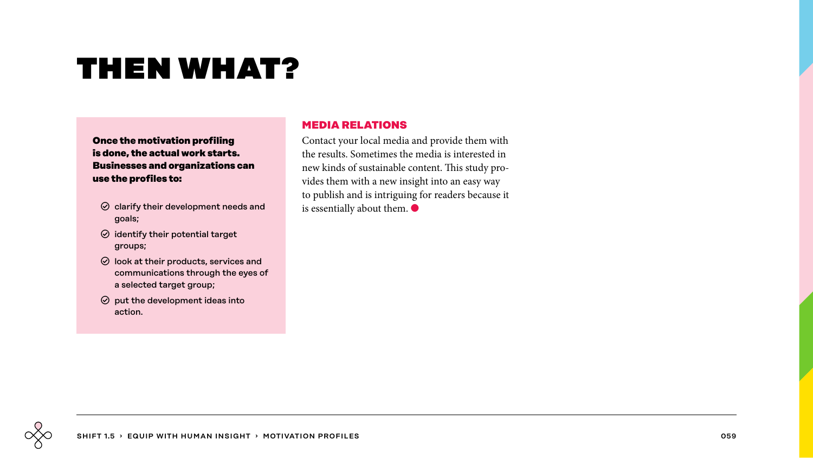## then what?

**Once the motivation profiling is done, the actual work starts. Businesses and organizations can use the profiles to:** 

- $\odot$  clarify their development needs and goals;
- $\odot$  identify their potential target groups;
- $\odot$  look at their products, services and communications through the eyes of a selected target group;
- $\odot$  put the development ideas into action.

## **MEDIA RELATIONS**

Contact your local media and provide them with the results. Sometimes the media is interested in new kinds of sustainable content. This study provides them with a new insight into an easy way to publish and is intriguing for readers because it is essentially about them.  $\bullet$